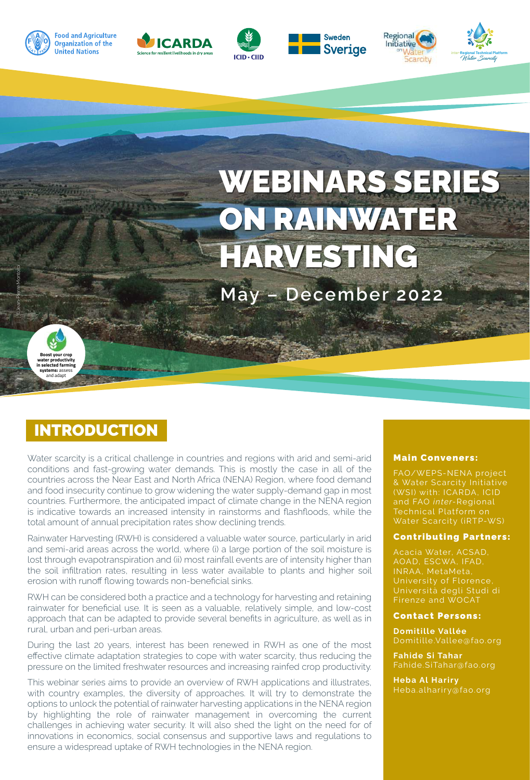

**Food and Agriculture** 

**Organization of the** 

**United Nations** 









WEBINARS SERIES ON RAINWATER HARVESTING

**May – December 2022**



©Jean-Pierre Montoroi

# INTRODUCTION

Water scarcity is a critical challenge in countries and regions with arid and semi-arid conditions and fast-growing water demands. This is mostly the case in all of the countries across the Near East and North Africa (NENA) Region, where food demand and food insecurity continue to grow widening the water supply-demand gap in most countries. Furthermore, the anticipated impact of climate change in the NENA region is indicative towards an increased intensity in rainstorms and flashfloods, while the total amount of annual precipitation rates show declining trends.

Rainwater Harvesting (RWH) is considered a valuable water source, particularly in arid and semi-arid areas across the world, where (i) a large portion of the soil moisture is lost through evapotranspiration and (ii) most rainfall events are of intensity higher than the soil infiltration rates, resulting in less water available to plants and higher soil erosion with runoff flowing towards non-beneficial sinks.

RWH can be considered both a practice and a technology for harvesting and retaining rainwater for beneficial use. It is seen as a valuable, relatively simple, and low-cost approach that can be adapted to provide several benefits in agriculture, as well as in rural, urban and peri-urban areas.

During the last 20 years, interest has been renewed in RWH as one of the most effective climate adaptation strategies to cope with water scarcity, thus reducing the pressure on the limited freshwater resources and increasing rainfed crop productivity.

This webinar series aims to provide an overview of RWH applications and illustrates, with country examples, the diversity of approaches. It will try to demonstrate the options to unlock the potential of rainwater harvesting applications in the NENA region by highlighting the role of rainwater management in overcoming the current challenges in achieving water security. It will also shed the light on the need for of innovations in economics, social consensus and supportive laws and regulations to ensure a widespread uptake of RWH technologies in the NENA region.

#### Main Conveners:

FAO/WEPS-NENA project (WSI) with: ICARDA, ICID Water Scarcity (iRTP-WS)

#### Contributing Partners:

AOAD, ESCWA, IFAD, INRAA, MetaMeta, University of Florence, Università degli Studi di Firenze and WOCAT

#### Contact Persons:

**Domitille Vallée** 

**Fahide Si Tahar** 

**Heba Al Hariry**  Heba.alhariry@fao.org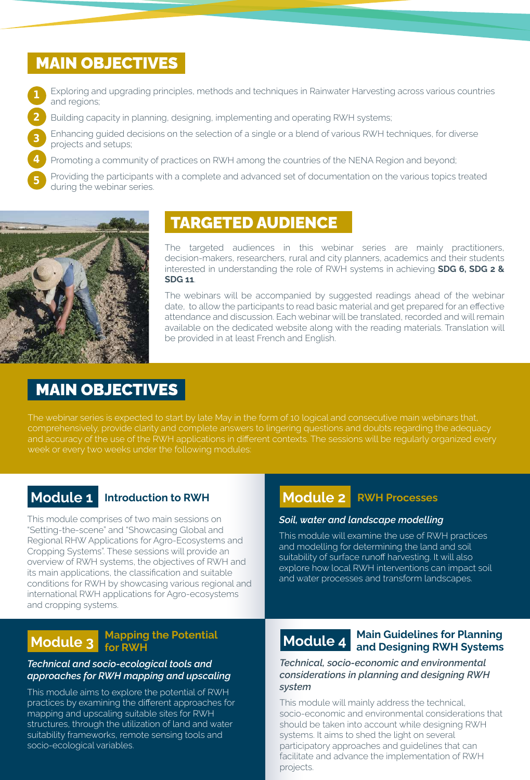## MAIN OBJECTIVES

- Exploring and upgrading principles, methods and techniques in Rainwater Harvesting across various countries and regions; 1
- Building capacity in planning, designing, implementing and operating RWH systems; 2
	- Enhancing guided decisions on the selection of a single or a blend of various RWH techniques, for diverse projects and setups;
	- Promoting a community of practices on RWH among the countries of the NENA Region and beyond;

Providing the participants with a complete and advanced set of documentation on the various topics treated during the webinar series.



3

4

5

# TARGETED AUDIENCE

The targeted audiences in this webinar series are mainly practitioners, decision-makers, researchers, rural and city planners, academics and their students interested in understanding the role of RWH systems in achieving **SDG 6, SDG 2 & SDG 11**.

date, to allow the participants to read basic material and get prepared for an effective The webinars will be accompanied by suggested readings ahead of the webinar attendance and discussion. Each webinar will be translated, recorded and will remain available on the dedicated website along with the reading materials. Translation will be provided in at least French and English.

# MAIN OBJECTIVES

The webinar series is expected to start by late May in the form of 10 logical and consecutive main webinars that, comprehensively, provide clarity and complete answers to lingering questions and doubts regarding the adequacy and accuracy of the use of the RWH applications in different contexts. The sessions will be regularly organized every week or every two weeks under the following modules:

### **Module 1 Introduction to RWH**

This module comprises of two main sessions on "Setting-the-scene" and "Showcasing Global and Regional RHW Applications for Agro-Ecosystems and Cropping Systems". These sessions will provide an overview of RWH systems, the objectives of RWH and its main applications, the classification and suitable conditions for RWH by showcasing various regional and international RWH applications for Agro-ecosystems and cropping systems.

# **Module 2 RWH Processes**

### *Soil, water and landscape modelling*

This module will examine the use of RWH practices and modelling for determining the land and soil suitability of surface runoff harvesting. It will also explore how local RWH interventions can impact soil and water processes and transform landscapes.

# **Module 3** Mapping the Potential

### *Technical and socio-ecological tools and approaches for RWH mapping and upscaling*

This module aims to explore the potential of RWH practices by examining the different approaches for mapping and upscaling suitable sites for RWH structures, through the utilization of land and water suitability frameworks, remote sensing tools and socio-ecological variables.

# **Module 4 Main Guidelines for Planning and Designing RWH Systems**

*Technical, socio-economic and environmental considerations in planning and designing RWH system*

This module will mainly address the technical, socio-economic and environmental considerations that should be taken into account while designing RWH systems. It aims to shed the light on several participatory approaches and guidelines that can facilitate and advance the implementation of RWH projects.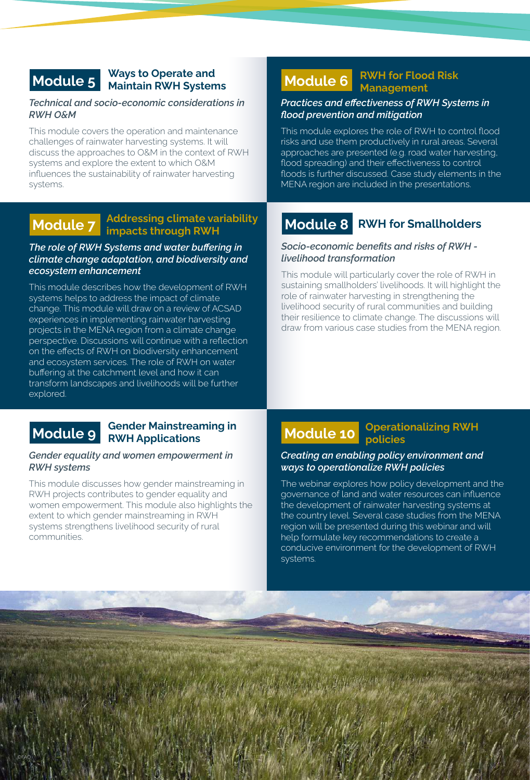### **Module 5 Ways to Operate and Maintain RWH Systems**

### *Technical and socio-economic considerations in RWH O&M*

This module covers the operation and maintenance challenges of rainwater harvesting systems. It will discuss the approaches to O&M in the context of RWH systems and explore the extent to which O&M influences the sustainability of rainwater harvesting systems.

# **Module 7 Addressing climate variability impacts through RWH**

### *The role of RWH Systems and water buffering in climate change adaptation, and biodiversity and ecosystem enhancement*

This module describes how the development of RWH systems helps to address the impact of climate change. This module will draw on a review of ACSAD experiences in implementing rainwater harvesting projects in the MENA region from a climate change perspective. Discussions will continue with a reflection on the effects of RWH on biodiversity enhancement and ecosystem services. The role of RWH on water buffering at the catchment level and how it can transform landscapes and livelihoods will be further explored.

©FAO

# **Module 9 Gender Mainstreaming in RWH Applications**

### *Gender equality and women empowerment in RWH systems*

This module discusses how gender mainstreaming in RWH projects contributes to gender equality and women empowerment. This module also highlights the extent to which gender mainstreaming in RWH systems strengthens livelihood security of rural communities.

# **Module 6 RWH for Flood Risk Management**

### *Practices and effectiveness of RWH Systems in flood prevention and mitigation*

This module explores the role of RWH to control flood risks and use them productively in rural areas. Several approaches are presented (e.g. road water harvesting, flood spreading) and their effectiveness to control floods is further discussed. Case study elements in the MENA region are included in the presentations.

### **Module 8 RWH for Smallholders**

### *Socio-economic benefits and risks of RWH livelihood transformation*

This module will particularly cover the role of RWH in sustaining smallholders' livelihoods. It will highlight the role of rainwater harvesting in strengthening the livelihood security of rural communities and building their resilience to climate change. The discussions will draw from various case studies from the MENA region.

# **Module 10 Operationalizing RWH policies**

### *Creating an enabling policy environment and ways to operationalize RWH policies*

The webinar explores how policy development and the governance of land and water resources can influence the development of rainwater harvesting systems at the country level. Several case studies from the MENA region will be presented during this webinar and will help formulate key recommendations to create a conducive environment for the development of RWH systems.